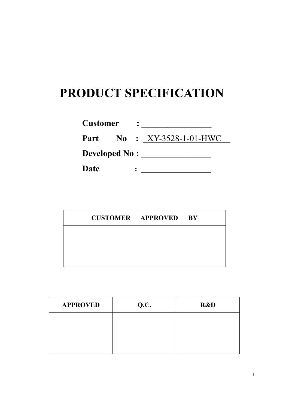## **PRODUCT SPECIFICATION**

| <b>Customer</b>      |                                  |  |
|----------------------|----------------------------------|--|
|                      | <b>Part No: XY-3528-1-01-HWC</b> |  |
| <b>Developed No:</b> |                                  |  |
| Date                 |                                  |  |

|  | <b>CUSTOMER APPROVED BY</b> |  |
|--|-----------------------------|--|
|  |                             |  |
|  |                             |  |
|  |                             |  |

| <b>APPROVED</b> | Q.C. | R&D |
|-----------------|------|-----|
|                 |      |     |
|                 |      |     |
|                 |      |     |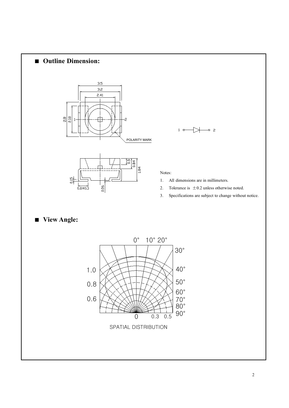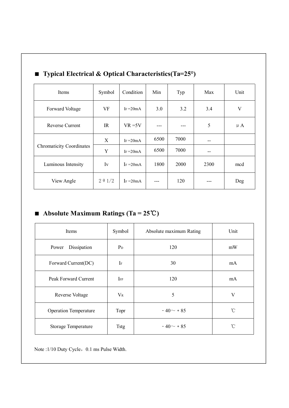|  | ັັ⊥                             | л.             |              |       | $\ddot{\phantom{1}}$ | $\overline{\phantom{a}}$ |         |
|--|---------------------------------|----------------|--------------|-------|----------------------|--------------------------|---------|
|  | Items                           | Symbol         | Condition    | Min   | Typ                  | Max                      | Unit    |
|  | Forward Voltage                 | VF             | IF $=20mA$   | 3.0   | 3.2                  | 3.4                      | V       |
|  | Reverse Current                 | IR             | $VR = 5V$    | $---$ | ---                  | 5                        | $\mu A$ |
|  | <b>Chromaticity Coordinates</b> | X              | IF $=20mA$   | 6500  | 7000                 | $- -$                    |         |
|  |                                 | Y              | IF $=20mA$   | 6500  | 7000                 | $- -$                    |         |
|  | Luminous Intensity              | $I_{V}$        | $I_F = 20mA$ | 1800  | 2000                 | 2300                     | mcd     |
|  | View Angle                      | $2 \theta 1/2$ | $I_F = 20mA$ | ---   | 120                  | $---$                    | Deg     |

## ■ **Typical Electrical & Optical Characteristics(Ta=25°)**

## ■ **Absolute Maximum Ratings (Ta = 25**℃**)**

| Items                        | Symbol       | Absolute maximum Rating | Unit         |
|------------------------------|--------------|-------------------------|--------------|
| Dissipation<br>Power         | $P_D$        | 120                     | mW           |
| Forward Current(DC)          | $\rm I\sc F$ | 30                      | mA           |
| Peak Forward Current         | $_{\rm IFP}$ | 120                     | mA           |
| Reverse Voltage              | $V_{R}$      | 5                       | V            |
| <b>Operation Temperature</b> | Topr         | $-40 \sim +85$          | $^{\circ}$ C |
| Storage Temperature          | Tstg         | $-40 - +85$             | $^{\circ}$ C |

Note :1/10 Duty Cycle, 0.1 ms Pulse Width.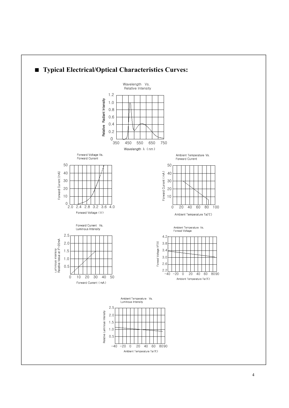

## 4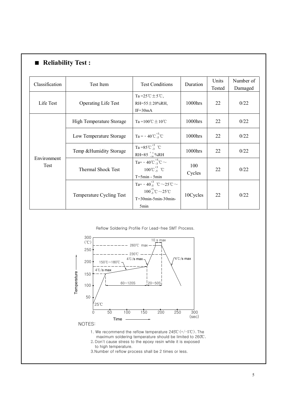| Classification      | Test Item                  | <b>Test Conditions</b>                            | Duration | Units  | Number of |
|---------------------|----------------------------|---------------------------------------------------|----------|--------|-----------|
|                     |                            |                                                   |          | Tested | Damaged   |
|                     |                            | Ta= $25^{\circ}$ C ± $5^{\circ}$ C,               |          | 22     | 0/22      |
| Life Test           | <b>Operating Life Test</b> | RH=55 $\pm$ 20%RH,                                | 1000hrs  |        |           |
|                     |                            | $IF=30mA$                                         |          |        |           |
|                     | High Temperature Storage   | $Ta = 100^{\circ}\text{C} \pm 10^{\circ}\text{C}$ | 1000hrs  | 22     | 0/22      |
|                     |                            |                                                   |          |        |           |
|                     | Low Temperature Storage    | $Ta = -40^{\circ}C_{.5}^{+3}^{\circ}C$            | 1000hrs  | 22     | 0/22      |
|                     |                            |                                                   |          |        |           |
|                     | Temp & Humidity Storage    | Ta=85°C $^{+5}_{-3}$ °C                           | 1000hrs  | 22     | 0/22      |
| Environment<br>Test |                            | RH=85 $^{+5}_{-10}$ %RH                           |          |        |           |
|                     |                            | Ta= - 40°C $^{+5}_{-3}$ °C $\sim$                 | 100      | 22     | 0/22      |
|                     | Thermal Shock Test         | $100^{\circ}C_{.5}^{+3}$ °C                       | Cycles   |        |           |
|                     |                            | $T = 5min - 5min$                                 |          |        |           |
|                     |                            | Ta= $-40^{+3}_{-5}$ °C $\sim$ 25°C $\sim$         |          | 22     | 0/22      |
|                     |                            | $100^{+5}_{-3}$ °C $\sim$ 25°C                    | 10Cycles |        |           |
|                     | Temperature Cycling Test   | $T=30$ min-5min-30min-                            |          |        |           |
|                     |                            | 5min                                              |          |        |           |

Reflow Soldering Profile For Lead-free SMT Process.



1. We recommend the reflow temperature245℃(+/-5℃).The maximum soldering temperature should be limited to 260℃. 2.Don't cause stress to the epoxy resin while it is exposed

to high temperature.

3.Number of reflow process shall be 2 times or less.